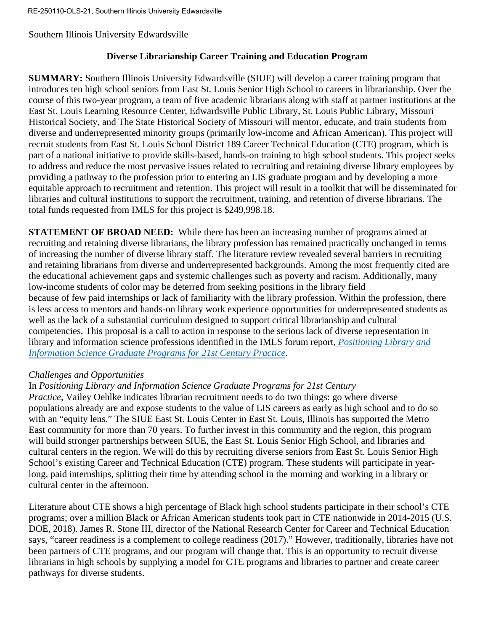# **Diverse Librarianship Career Training and Education Program**

**SUMMARY:** Southern Illinois University Edwardsville (SIUE) will develop a career training program that introduces ten high school seniors from East St. Louis Senior High School to careers in librarianship. Over the course of this two-year program, a team of five academic librarians along with staff at partner institutions at the East St. Louis Learning Resource Center, Edwardsville Public Library, St. Louis Public Library, Missouri Historical Society, and The State Historical Society of Missouri will mentor, educate, and train students from diverse and underrepresented minority groups (primarily low-income and African American). This project will recruit students from East St. Louis School District 189 Career Technical Education (CTE) program, which is part of a national initiative to provide skills-based, hands-on training to high school students. This project seeks to address and reduce the most pervasive issues related to recruiting and retaining diverse library employees by providing a pathway to the profession prior to entering an LIS graduate program and by developing a more equitable approach to recruitment and retention. This project will result in a toolkit that will be disseminated for libraries and cultural institutions to support the recruitment, training, and retention of diverse librarians. The total funds requested from IMLS for this project is \$249,998.18.

**STATEMENT OF BROAD NEED:** While there has been an increasing number of programs aimed at recruiting and retaining diverse librarians, the library profession has remained practically unchanged in terms of increasing the number of diverse library staff. The literature review revealed several barriers in recruiting and retaining librarians from diverse and underrepresented backgrounds. Among the most frequently cited are the educational achievement gaps and systemic challenges such as poverty and racism. Additionally, many low-income students of color may be deterred from seeking positions in the library field because of few paid internships or lack of familiarity with the library profession. Within the profession, there is less access to mentors and hands-on library work experience opportunities for underrepresented students as well as the lack of a substantial curriculum designed to support critical librarianship and cultural competencies. This proposal is a call to action in response to the serious lack of diverse representation in library and information science professions identified in the IMLS forum report, *[Positioning Library and](https://www.imls.gov/sites/default/files/publications/documents/imlspositioningreport.pdf) [Information Science Graduate Programs for 21st Century Practice](https://www.imls.gov/sites/default/files/publications/documents/imlspositioningreport.pdf)*.

## *Challenges and Opportunities*

## In *Positioning Library and Information Science Graduate Programs for 21st Century*

*Practice*, Vailey Oehlke indicates librarian recruitment needs to do two things: go where diverse populations already are and expose students to the value of LIS careers as early as high school and to do so with an "equity lens." The SIUE East St. Louis Center in East St. Louis, Illinois has supported the Metro East community for more than 70 years. To further invest in this community and the region, this program will build stronger partnerships between SIUE, the East St. Louis Senior High School, and libraries and cultural centers in the region. We will do this by recruiting diverse seniors from East St. Louis Senior High School's existing Career and Technical Education (CTE) program. These students will participate in yearlong, paid internships, splitting their time by attending school in the morning and working in a library or cultural center in the afternoon.

Literature about CTE shows a high percentage of Black high school students participate in their school's CTE programs; over a million Black or African American students took part in CTE nationwide in 2014-2015 (U.S. DOE, 2018). James R. Stone III, director of the National Research Center for Career and Technical Education says, "career readiness is a complement to college readiness (2017)." However, traditionally, libraries have not been partners of CTE programs, and our program will change that. This is an opportunity to recruit diverse librarians in high schools by supplying a model for CTE programs and libraries to partner and create career pathways for diverse students.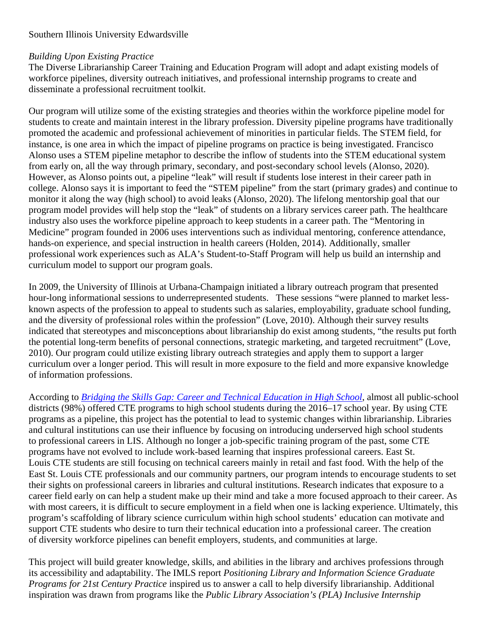# *Building Upon Existing Practice*

The Diverse Librarianship Career Training and Education Program will adopt and adapt existing models of workforce pipelines, diversity outreach initiatives, and professional internship programs to create and disseminate a professional recruitment toolkit.

Our program will utilize some of the existing strategies and theories within the workforce pipeline model for students to create and maintain interest in the library profession. Diversity pipeline programs have traditionally promoted the academic and professional achievement of minorities in particular fields. The STEM field, for instance, is one area in which the impact of pipeline programs on practice is being investigated. Francisco Alonso uses a STEM pipeline metaphor to describe the inflow of students into the STEM educational system from early on, all the way through primary, secondary, and post-secondary school levels (Alonso, 2020). However, as Alonso points out, a pipeline "leak" will result if students lose interest in their career path in college. Alonso says it is important to feed the "STEM pipeline" from the start (primary grades) and continue to monitor it along the way (high school) to avoid leaks (Alonso, 2020). The lifelong mentorship goal that our program model provides will help stop the "leak" of students on a library services career path. The healthcare industry also uses the workforce pipeline approach to keep students in a career path. The "Mentoring in Medicine" program founded in 2006 uses interventions such as individual mentoring, conference attendance, hands-on experience, and special instruction in health careers (Holden, 2014). Additionally, smaller professional work experiences such as ALA's Student-to-Staff Program will help us build an internship and curriculum model to support our program goals.

In 2009, the University of Illinois at Urbana-Champaign initiated a library outreach program that presented hour-long informational sessions to underrepresented students. These sessions "were planned to market lessknown aspects of the profession to appeal to students such as salaries, employability, graduate school funding, and the diversity of professional roles within the profession" (Love, 2010). Although their survey results indicated that stereotypes and misconceptions about librarianship do exist among students, "the results put forth the potential long-term benefits of personal connections, strategic marketing, and targeted recruitment" (Love, 2010). Our program could utilize existing library outreach strategies and apply them to support a larger curriculum over a longer period. This will result in more exposure to the field and more expansive knowledge of information professions.

According to *[Bridging the Skills Gap: Career and Technical Education in High School](https://www2.ed.gov/datastory/cte/index.html#WHOGRADUATESFINDSAJOB)*, almost all public-school districts (98%) offered CTE programs to high school students during the 2016–17 school year. By using CTE programs as a pipeline, this project has the potential to lead to systemic changes within librarianship. Libraries and cultural institutions can use their influence by focusing on introducing underserved high school students to professional careers in LIS. Although no longer a job-specific training program of the past, some CTE programs have not evolved to include work-based learning that inspires professional careers. East St. Louis CTE students are still focusing on technical careers mainly in retail and fast food. With the help of the East St. Louis CTE professionals and our community partners, our program intends to encourage students to set their sights on professional careers in libraries and cultural institutions. Research indicates that exposure to a career field early on can help a student make up their mind and take a more focused approach to their career. As with most careers, it is difficult to secure employment in a field when one is lacking experience. Ultimately, this program's scaffolding of library science curriculum within high school students' education can motivate and support CTE students who desire to turn their technical education into a professional career. The creation of diversity workforce pipelines can benefit employers, students, and communities at large.

This project will build greater knowledge, skills, and abilities in the library and archives professions through its accessibility and adaptability. The IMLS report *Positioning Library and Information Science Graduate Programs for 21st Century Practice* inspired us to answer a call to help diversify librarianship. Additional inspiration was drawn from programs like the *Public Library Association's (PLA) Inclusive Internship*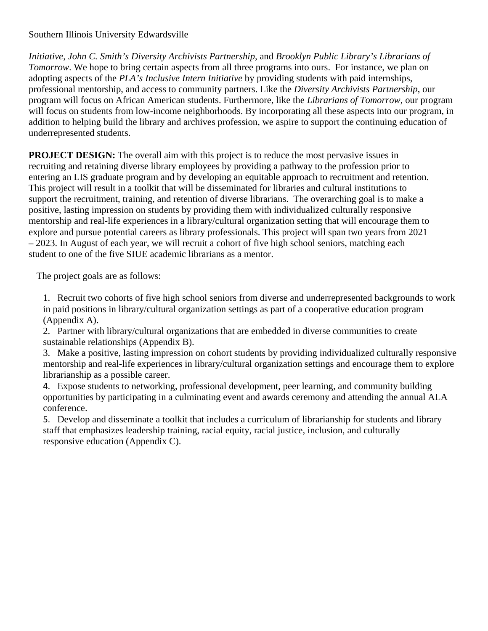*Initiative*, *John C. Smith's Diversity Archivists Partnership*, and *Brooklyn Public Library's Librarians of Tomorrow*. We hope to bring certain aspects from all three programs into ours. For instance, we plan on adopting aspects of the *PLA's Inclusive Intern Initiative* by providing students with paid internships, professional mentorship, and access to community partners. Like the *Diversity Archivists Partnership*, our program will focus on African American students. Furthermore, like the *Librarians of Tomorrow*, our program will focus on students from low-income neighborhoods. By incorporating all these aspects into our program, in addition to helping build the library and archives profession, we aspire to support the continuing education of underrepresented students.

**PROJECT DESIGN:** The overall aim with this project is to reduce the most pervasive issues in recruiting and retaining diverse library employees by providing a pathway to the profession prior to entering an LIS graduate program and by developing an equitable approach to recruitment and retention. This project will result in a toolkit that will be disseminated for libraries and cultural institutions to support the recruitment, training, and retention of diverse librarians. The overarching goal is to make a positive, lasting impression on students by providing them with individualized culturally responsive mentorship and real-life experiences in a library/cultural organization setting that will encourage them to explore and pursue potential careers as library professionals. This project will span two years from 2021 – 2023. In August of each year, we will recruit a cohort of five high school seniors, matching each student to one of the five SIUE academic librarians as a mentor.

The project goals are as follows:

1. Recruit two cohorts of five high school seniors from diverse and underrepresented backgrounds to work in paid positions in library/cultural organization settings as part of a cooperative education program (Appendix A).

2. Partner with library/cultural organizations that are embedded in diverse communities to create sustainable relationships (Appendix B).

3. Make a positive, lasting impression on cohort students by providing individualized culturally responsive mentorship and real-life experiences in library/cultural organization settings and encourage them to explore librarianship as a possible career.

4. Expose students to networking, professional development, peer learning, and community building opportunities by participating in a culminating event and awards ceremony and attending the annual ALA conference.

5. Develop and disseminate a toolkit that includes a curriculum of librarianship for students and library staff that emphasizes leadership training, racial equity, racial justice, inclusion, and culturally responsive education (Appendix C).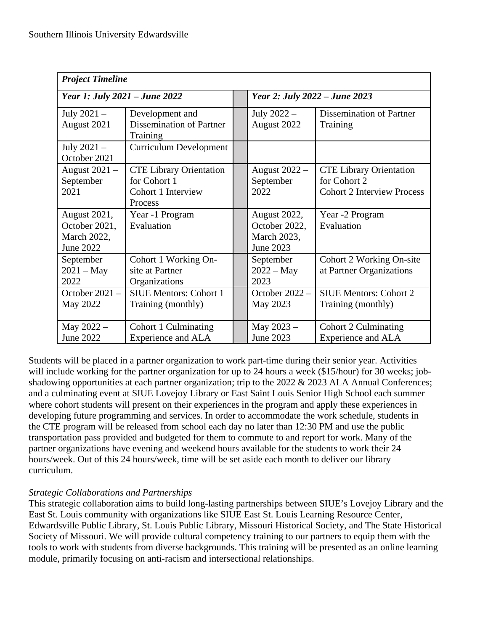| <b>Project Timeline</b>                                   |                                                                                 |  |                                                           |                                                                                     |  |  |  |  |  |  |
|-----------------------------------------------------------|---------------------------------------------------------------------------------|--|-----------------------------------------------------------|-------------------------------------------------------------------------------------|--|--|--|--|--|--|
| Year 1: July 2021 – June 2022                             |                                                                                 |  | Year 2: July 2022 – June 2023                             |                                                                                     |  |  |  |  |  |  |
| July $2021 -$<br>August 2021                              | Development and<br><b>Dissemination of Partner</b><br>Training                  |  | July $2022 -$<br>August 2022                              | <b>Dissemination of Partner</b><br>Training                                         |  |  |  |  |  |  |
| July $2021 -$<br>October 2021                             | Curriculum Development                                                          |  |                                                           |                                                                                     |  |  |  |  |  |  |
| August $2021 -$<br>September<br>2021                      | <b>CTE Library Orientation</b><br>for Cohort 1<br>Cohort 1 Interview<br>Process |  | August 2022 -<br>September<br>2022                        | <b>CTE Library Orientation</b><br>for Cohort 2<br><b>Cohort 2 Interview Process</b> |  |  |  |  |  |  |
| August 2021,<br>October 2021,<br>March 2022,<br>June 2022 | Year -1 Program<br>Evaluation                                                   |  | August 2022,<br>October 2022,<br>March 2023,<br>June 2023 | Year -2 Program<br>Evaluation                                                       |  |  |  |  |  |  |
| September<br>$2021 - May$<br>2022                         | Cohort 1 Working On-<br>site at Partner<br>Organizations                        |  | September<br>$2022 - May$<br>2023                         | Cohort 2 Working On-site<br>at Partner Organizations                                |  |  |  |  |  |  |
| October $2021 -$<br>May 2022                              | <b>SIUE Mentors: Cohort 1</b><br>Training (monthly)                             |  | October $2022 -$<br>May 2023                              | <b>SIUE Mentors: Cohort 2</b><br>Training (monthly)                                 |  |  |  |  |  |  |
| May $2022 -$<br>June 2022                                 | Cohort 1 Culminating<br><b>Experience and ALA</b>                               |  | May $2023 -$<br>June 2023                                 | Cohort 2 Culminating<br><b>Experience and ALA</b>                                   |  |  |  |  |  |  |

Students will be placed in a partner organization to work part-time during their senior year. Activities will include working for the partner organization for up to 24 hours a week (\$15/hour) for 30 weeks; jobshadowing opportunities at each partner organization; trip to the 2022 & 2023 ALA Annual Conferences; and a culminating event at SIUE Lovejoy Library or East Saint Louis Senior High School each summer where cohort students will present on their experiences in the program and apply these experiences in developing future programming and services. In order to accommodate the work schedule, students in the CTE program will be released from school each day no later than 12:30 PM and use the public transportation pass provided and budgeted for them to commute to and report for work. Many of the partner organizations have evening and weekend hours available for the students to work their 24 hours/week. Out of this 24 hours/week, time will be set aside each month to deliver our library curriculum.

# *Strategic Collaborations and Partnerships*

This strategic collaboration aims to build long-lasting partnerships between SIUE's Lovejoy Library and the East St. Louis community with organizations like SIUE East St. Louis Learning Resource Center, Edwardsville Public Library, St. Louis Public Library, Missouri Historical Society, and The State Historical Society of Missouri. We will provide cultural competency training to our partners to equip them with the tools to work with students from diverse backgrounds. This training will be presented as an online learning module, primarily focusing on anti-racism and intersectional relationships.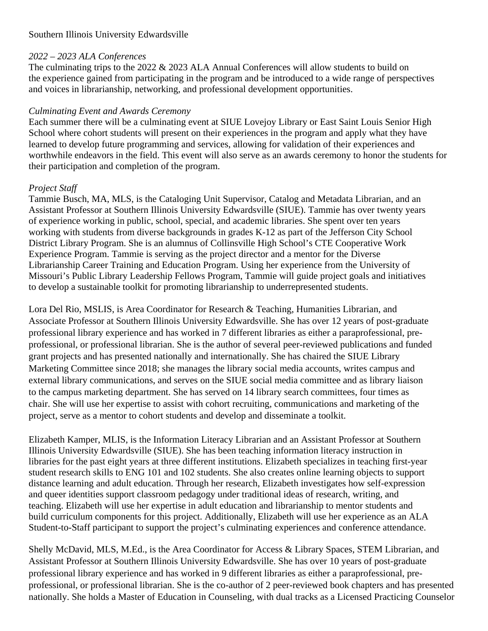## *2022 – 2023 ALA Conferences*

The culminating trips to the 2022 & 2023 ALA Annual Conferences will allow students to build on the experience gained from participating in the program and be introduced to a wide range of perspectives and voices in librarianship, networking, and professional development opportunities.

## *Culminating Event and Awards Ceremony*

Each summer there will be a culminating event at SIUE Lovejoy Library or East Saint Louis Senior High School where cohort students will present on their experiences in the program and apply what they have learned to develop future programming and services, allowing for validation of their experiences and worthwhile endeavors in the field. This event will also serve as an awards ceremony to honor the students for their participation and completion of the program.

#### *Project Staff*

Tammie Busch, MA, MLS, is the Cataloging Unit Supervisor, Catalog and Metadata Librarian, and an Assistant Professor at Southern Illinois University Edwardsville (SIUE). Tammie has over twenty years of experience working in public, school, special, and academic libraries. She spent over ten years working with students from diverse backgrounds in grades K-12 as part of the Jefferson City School District Library Program. She is an alumnus of Collinsville High School's CTE Cooperative Work Experience Program. Tammie is serving as the project director and a mentor for the Diverse Librarianship Career Training and Education Program. Using her experience from the University of Missouri's Public Library Leadership Fellows Program, Tammie will guide project goals and initiatives to develop a sustainable toolkit for promoting librarianship to underrepresented students.

Lora Del Rio, MSLIS, is Area Coordinator for Research & Teaching, Humanities Librarian, and Associate Professor at Southern Illinois University Edwardsville. She has over 12 years of post-graduate professional library experience and has worked in 7 different libraries as either a paraprofessional, preprofessional, or professional librarian. She is the author of several peer-reviewed publications and funded grant projects and has presented nationally and internationally. She has chaired the SIUE Library Marketing Committee since 2018; she manages the library social media accounts, writes campus and external library communications, and serves on the SIUE social media committee and as library liaison to the campus marketing department. She has served on 14 library search committees, four times as chair. She will use her expertise to assist with cohort recruiting, communications and marketing of the project, serve as a mentor to cohort students and develop and disseminate a toolkit.

Elizabeth Kamper, MLIS, is the Information Literacy Librarian and an Assistant Professor at Southern Illinois University Edwardsville (SIUE). She has been teaching information literacy instruction in libraries for the past eight years at three different institutions. Elizabeth specializes in teaching first-year student research skills to ENG 101 and 102 students. She also creates online learning objects to support distance learning and adult education. Through her research, Elizabeth investigates how self-expression and queer identities support classroom pedagogy under traditional ideas of research, writing, and teaching. Elizabeth will use her expertise in adult education and librarianship to mentor students and build curriculum components for this project. Additionally, Elizabeth will use her experience as an ALA Student-to-Staff participant to support the project's culminating experiences and conference attendance.

Shelly McDavid, MLS, M.Ed., is the Area Coordinator for Access & Library Spaces, STEM Librarian, and Assistant Professor at Southern Illinois University Edwardsville. She has over 10 years of post-graduate professional library experience and has worked in 9 different libraries as either a paraprofessional, preprofessional, or professional librarian. She is the co-author of 2 peer-reviewed book chapters and has presented nationally. She holds a Master of Education in Counseling, with dual tracks as a Licensed Practicing Counselor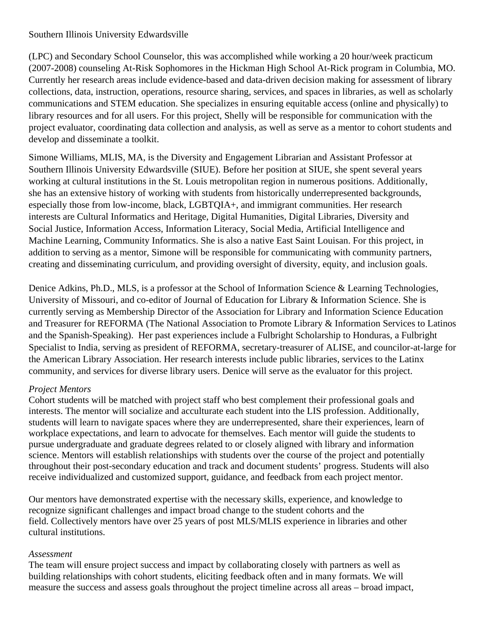(LPC) and Secondary School Counselor, this was accomplished while working a 20 hour/week practicum (2007-2008) counseling At-Risk Sophomores in the Hickman High School At-Rick program in Columbia, MO. Currently her research areas include evidence-based and data-driven decision making for assessment of library collections, data, instruction, operations, resource sharing, services, and spaces in libraries, as well as scholarly communications and STEM education. She specializes in ensuring equitable access (online and physically) to library resources and for all users. For this project, Shelly will be responsible for communication with the project evaluator, coordinating data collection and analysis, as well as serve as a mentor to cohort students and develop and disseminate a toolkit.

Simone Williams, MLIS, MA, is the Diversity and Engagement Librarian and Assistant Professor at Southern Illinois University Edwardsville (SIUE). Before her position at SIUE, she spent several years working at cultural institutions in the St. Louis metropolitan region in numerous positions. Additionally, she has an extensive history of working with students from historically underrepresented backgrounds, especially those from low-income, black, LGBTQIA+, and immigrant communities. Her research interests are Cultural Informatics and Heritage, Digital Humanities, Digital Libraries, Diversity and Social Justice, Information Access, Information Literacy, Social Media, Artificial Intelligence and Machine Learning, Community Informatics. She is also a native East Saint Louisan. For this project, in addition to serving as a mentor, Simone will be responsible for communicating with community partners, creating and disseminating curriculum, and providing oversight of diversity, equity, and inclusion goals.

Denice Adkins, Ph.D., MLS, is a professor at the School of Information Science & Learning Technologies, University of Missouri, and co-editor of Journal of Education for Library & Information Science. She is currently serving as Membership Director of the Association for Library and Information Science Education and Treasurer for REFORMA (The National Association to Promote Library & Information Services to Latinos and the Spanish-Speaking). Her past experiences include a Fulbright Scholarship to Honduras, a Fulbright Specialist to India, serving as president of REFORMA, secretary-treasurer of ALISE, and councilor-at-large for the American Library Association. Her research interests include public libraries, services to the Latinx community, and services for diverse library users. Denice will serve as the evaluator for this project.

## *Project Mentors*

Cohort students will be matched with project staff who best complement their professional goals and interests. The mentor will socialize and acculturate each student into the LIS profession. Additionally, students will learn to navigate spaces where they are underrepresented, share their experiences, learn of workplace expectations, and learn to advocate for themselves. Each mentor will guide the students to pursue undergraduate and graduate degrees related to or closely aligned with library and information science. Mentors will establish relationships with students over the course of the project and potentially throughout their post-secondary education and track and document students' progress. Students will also receive individualized and customized support, guidance, and feedback from each project mentor.

Our mentors have demonstrated expertise with the necessary skills, experience, and knowledge to recognize significant challenges and impact broad change to the student cohorts and the field. Collectively mentors have over 25 years of post MLS/MLIS experience in libraries and other cultural institutions.

## *Assessment*

The team will ensure project success and impact by collaborating closely with partners as well as building relationships with cohort students, eliciting feedback often and in many formats. We will measure the success and assess goals throughout the project timeline across all areas – broad impact,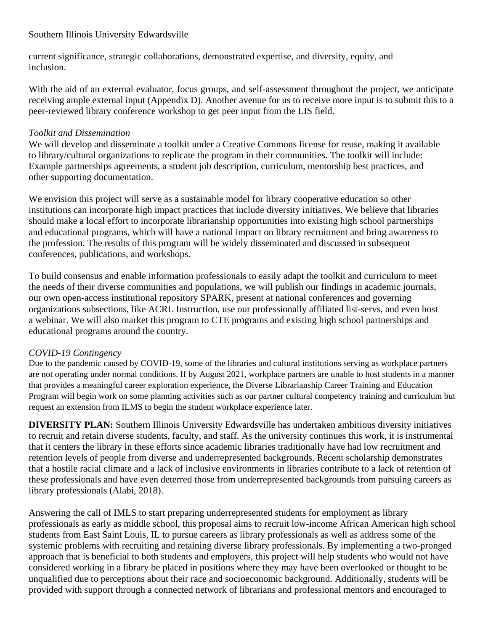current significance, strategic collaborations, demonstrated expertise, and diversity, equity, and inclusion.

With the aid of an external evaluator, focus groups, and self-assessment throughout the project, we anticipate receiving ample external input (Appendix D). Another avenue for us to receive more input is to submit this to a peer-reviewed library conference workshop to get peer input from the LIS field.

# *Toolkit and Dissemination*

We will develop and disseminate a toolkit under a Creative Commons license for reuse, making it available to library/cultural organizations to replicate the program in their communities. The toolkit will include: Example partnerships agreements, a student job description, curriculum, mentorship best practices, and other supporting documentation.

We envision this project will serve as a sustainable model for library cooperative education so other institutions can incorporate high impact practices that include diversity initiatives. We believe that libraries should make a local effort to incorporate librarianship opportunities into existing high school partnerships and educational programs, which will have a national impact on library recruitment and bring awareness to the profession. The results of this program will be widely disseminated and discussed in subsequent conferences, publications, and workshops.

To build consensus and enable information professionals to easily adapt the toolkit and curriculum to meet the needs of their diverse communities and populations, we will publish our findings in academic journals, our own open-access institutional repository SPARK, present at national conferences and governing organizations subsections, like ACRL Instruction, use our professionally affiliated list-servs, and even host a webinar. We will also market this program to CTE programs and existing high school partnerships and educational programs around the country.

# *COVID-19 Contingency*

Due to the pandemic caused by COVID-19, some of the libraries and cultural institutions serving as workplace partners are not operating under normal conditions. If by August 2021, workplace partners are unable to host students in a manner that provides a meaningful career exploration experience, the Diverse Librarianship Career Training and Education Program will begin work on some planning activities such as our partner cultural competency training and curriculum but request an extension from ILMS to begin the student workplace experience later.

**DIVERSITY PLAN:** Southern Illinois University Edwardsville has undertaken ambitious diversity initiatives to recruit and retain diverse students, faculty, and staff. As the university continues this work, it is instrumental that it centers the library in these efforts since academic libraries traditionally have had low recruitment and retention levels of people from diverse and underrepresented backgrounds. Recent scholarship demonstrates that a hostile racial climate and a lack of inclusive environments in libraries contribute to a lack of retention of these professionals and have even deterred those from underrepresented backgrounds from pursuing careers as library professionals (Alabi, 2018).

Answering the call of IMLS to start preparing underrepresented students for employment as library professionals as early as middle school, this proposal aims to recruit low-income African American high school students from East Saint Louis, IL to pursue careers as library professionals as well as address some of the systemic problems with recruiting and retaining diverse library professionals. By implementing a two-pronged approach that is beneficial to both students and employers, this project will help students who would not have considered working in a library be placed in positions where they may have been overlooked or thought to be unqualified due to perceptions about their race and socioeconomic background. Additionally, students will be provided with support through a connected network of librarians and professional mentors and encouraged to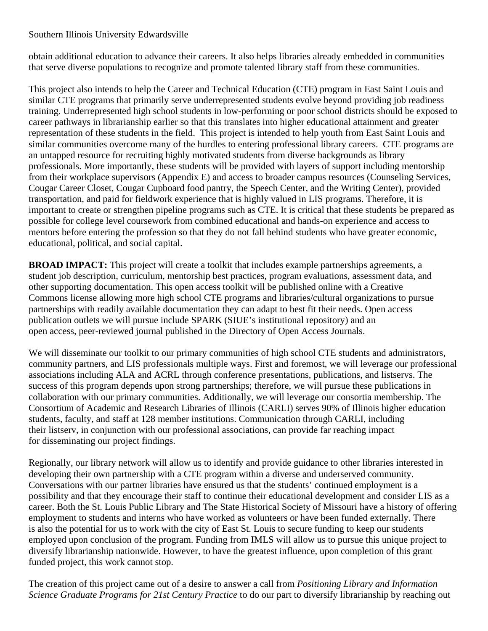obtain additional education to advance their careers. It also helps libraries already embedded in communities that serve diverse populations to recognize and promote talented library staff from these communities.

This project also intends to help the Career and Technical Education (CTE) program in East Saint Louis and similar CTE programs that primarily serve underrepresented students evolve beyond providing job readiness training. Underrepresented high school students in low-performing or poor school districts should be exposed to career pathways in librarianship earlier so that this translates into higher educational attainment and greater representation of these students in the field. This project is intended to help youth from East Saint Louis and similar communities overcome many of the hurdles to entering professional library careers. CTE programs are an untapped resource for recruiting highly motivated students from diverse backgrounds as library professionals. More importantly, these students will be provided with layers of support including mentorship from their workplace supervisors (Appendix E) and access to broader campus resources (Counseling Services, Cougar Career Closet, Cougar Cupboard food pantry, the Speech Center, and the Writing Center), provided transportation, and paid for fieldwork experience that is highly valued in LIS programs. Therefore, it is important to create or strengthen pipeline programs such as CTE. It is critical that these students be prepared as possible for college level coursework from combined educational and hands-on experience and access to mentors before entering the profession so that they do not fall behind students who have greater economic, educational, political, and social capital.

**BROAD IMPACT:** This project will create a toolkit that includes example partnerships agreements, a student job description, curriculum, mentorship best practices, program evaluations, assessment data, and other supporting documentation. This open access toolkit will be published online with a Creative Commons license allowing more high school CTE programs and libraries/cultural organizations to pursue partnerships with readily available documentation they can adapt to best fit their needs. Open access publication outlets we will pursue include SPARK (SIUE's institutional repository) and an open access, peer-reviewed journal published in the Directory of Open Access Journals.

We will disseminate our toolkit to our primary communities of high school CTE students and administrators, community partners, and LIS professionals multiple ways. First and foremost, we will leverage our professional associations including ALA and ACRL through conference presentations, publications, and listservs. The success of this program depends upon strong partnerships; therefore, we will pursue these publications in collaboration with our primary communities. Additionally, we will leverage our consortia membership. The Consortium of Academic and Research Libraries of Illinois (CARLI) serves 90% of Illinois higher education students, faculty, and staff at 128 member institutions. Communication through CARLI, including their listserv, in conjunction with our professional associations, can provide far reaching impact for disseminating our project findings.

Regionally, our library network will allow us to identify and provide guidance to other libraries interested in developing their own partnership with a CTE program within a diverse and underserved community. Conversations with our partner libraries have ensured us that the students' continued employment is a possibility and that they encourage their staff to continue their educational development and consider LIS as a career. Both the St. Louis Public Library and The State Historical Society of Missouri have a history of offering employment to students and interns who have worked as volunteers or have been funded externally. There is also the potential for us to work with the city of East St. Louis to secure funding to keep our students employed upon conclusion of the program. Funding from IMLS will allow us to pursue this unique project to diversify librarianship nationwide. However, to have the greatest influence, upon completion of this grant funded project, this work cannot stop.

The creation of this project came out of a desire to answer a call from *Positioning Library and Information Science Graduate Programs for 21st Century Practice* to do our part to diversify librarianship by reaching out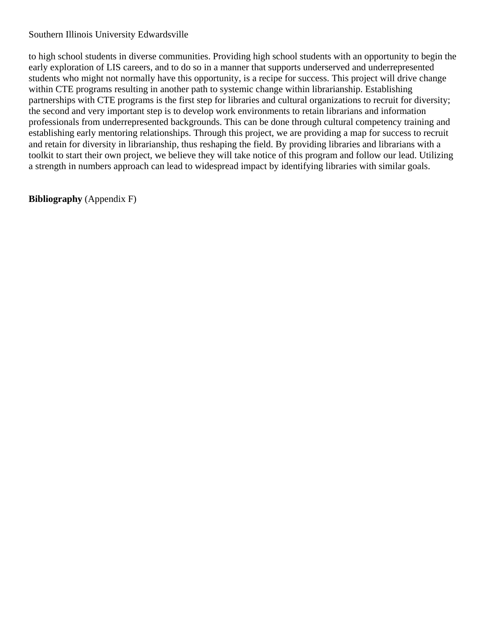to high school students in diverse communities. Providing high school students with an opportunity to begin the early exploration of LIS careers, and to do so in a manner that supports underserved and underrepresented students who might not normally have this opportunity, is a recipe for success. This project will drive change within CTE programs resulting in another path to systemic change within librarianship. Establishing partnerships with CTE programs is the first step for libraries and cultural organizations to recruit for diversity; the second and very important step is to develop work environments to retain librarians and information professionals from underrepresented backgrounds. This can be done through cultural competency training and establishing early mentoring relationships. Through this project, we are providing a map for success to recruit and retain for diversity in librarianship, thus reshaping the field. By providing libraries and librarians with a toolkit to start their own project, we believe they will take notice of this program and follow our lead. Utilizing a strength in numbers approach can lead to widespread impact by identifying libraries with similar goals.

**Bibliography** (Appendix F)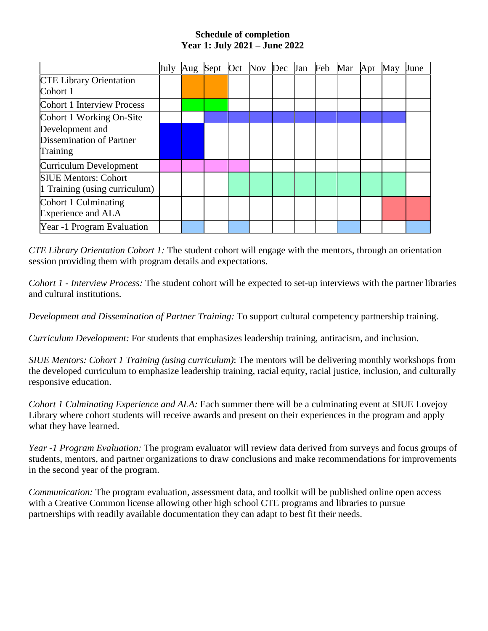#### **Schedule of completion Year 1: July 2021 – June 2022**

|                                                              | July | Aug Sept Oct | Nov Dec Jan Feb |  | Mar | Apr | May | June |
|--------------------------------------------------------------|------|--------------|-----------------|--|-----|-----|-----|------|
| <b>CTE Library Orientation</b><br>Cohort 1                   |      |              |                 |  |     |     |     |      |
| <b>Cohort 1 Interview Process</b>                            |      |              |                 |  |     |     |     |      |
| Cohort 1 Working On-Site                                     |      |              |                 |  |     |     |     |      |
| Development and<br>Dissemination of Partner<br>Training      |      |              |                 |  |     |     |     |      |
| Curriculum Development                                       |      |              |                 |  |     |     |     |      |
| <b>SIUE Mentors: Cohort</b><br>1 Training (using curriculum) |      |              |                 |  |     |     |     |      |
| Cohort 1 Culminating<br><b>Experience and ALA</b>            |      |              |                 |  |     |     |     |      |
| Year -1 Program Evaluation                                   |      |              |                 |  |     |     |     |      |

*CTE Library Orientation Cohort 1:* The student cohort will engage with the mentors, through an orientation session providing them with program details and expectations.

*Cohort 1 - Interview Process:* The student cohort will be expected to set-up interviews with the partner libraries and cultural institutions.

*Development and Dissemination of Partner Training:* To support cultural competency partnership training.

*Curriculum Development:* For students that emphasizes leadership training, antiracism, and inclusion.

*SIUE Mentors: Cohort 1 Training (using curriculum)*: The mentors will be delivering monthly workshops from the developed curriculum to emphasize leadership training, racial equity, racial justice, inclusion, and culturally responsive education.

*Cohort 1 Culminating Experience and ALA:* Each summer there will be a culminating event at SIUE Lovejoy Library where cohort students will receive awards and present on their experiences in the program and apply what they have learned.

*Year -1 Program Evaluation:* The program evaluator will review data derived from surveys and focus groups of students, mentors, and partner organizations to draw conclusions and make recommendations for improvements in the second year of the program.

*Communication:* The program evaluation, assessment data, and toolkit will be published online open access with a Creative Common license allowing other high school CTE programs and libraries to pursue partnerships with readily available documentation they can adapt to best fit their needs.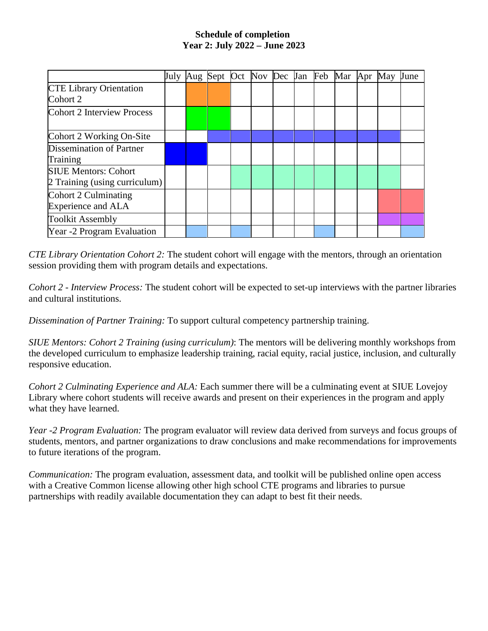## **Schedule of completion Year 2: July 2022 – June 2023**

|                                                   |  | July Aug Sept Oct Nov Dec Jan Feb Mar Apr May |  |  |  |  | June |
|---------------------------------------------------|--|-----------------------------------------------|--|--|--|--|------|
| <b>CTE Library Orientation</b><br>Cohort 2        |  |                                               |  |  |  |  |      |
| Cohort 2 Interview Process                        |  |                                               |  |  |  |  |      |
| Cohort 2 Working On-Site                          |  |                                               |  |  |  |  |      |
| Dissemination of Partner                          |  |                                               |  |  |  |  |      |
| Training                                          |  |                                               |  |  |  |  |      |
| <b>SIUE Mentors: Cohort</b>                       |  |                                               |  |  |  |  |      |
| 2 Training (using curriculum)                     |  |                                               |  |  |  |  |      |
| Cohort 2 Culminating<br><b>Experience and ALA</b> |  |                                               |  |  |  |  |      |
| <b>Toolkit Assembly</b>                           |  |                                               |  |  |  |  |      |
| Year -2 Program Evaluation                        |  |                                               |  |  |  |  |      |

*CTE Library Orientation Cohort 2:* The student cohort will engage with the mentors, through an orientation session providing them with program details and expectations.

*Cohort 2 - Interview Process:* The student cohort will be expected to set-up interviews with the partner libraries and cultural institutions.

*Dissemination of Partner Training:* To support cultural competency partnership training.

*SIUE Mentors: Cohort 2 Training (using curriculum)*: The mentors will be delivering monthly workshops from the developed curriculum to emphasize leadership training, racial equity, racial justice, inclusion, and culturally responsive education.

*Cohort 2 Culminating Experience and ALA:* Each summer there will be a culminating event at SIUE Lovejoy Library where cohort students will receive awards and present on their experiences in the program and apply what they have learned.

*Year -2 Program Evaluation:* The program evaluator will review data derived from surveys and focus groups of students, mentors, and partner organizations to draw conclusions and make recommendations for improvements to future iterations of the program.

*Communication:* The program evaluation, assessment data, and toolkit will be published online open access with a Creative Common license allowing other high school CTE programs and libraries to pursue partnerships with readily available documentation they can adapt to best fit their needs.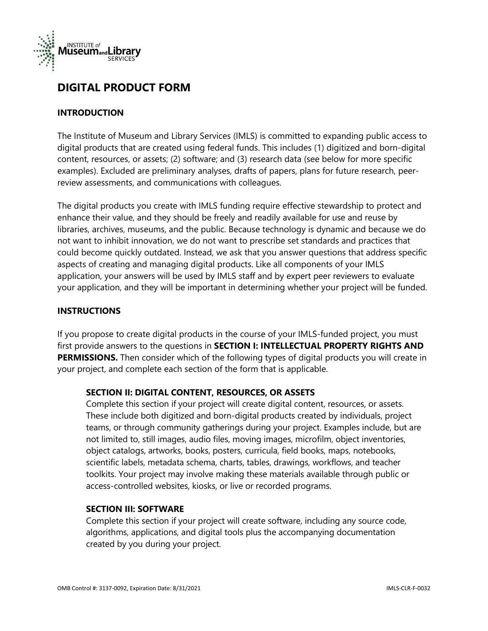

# **DIGITAL PRODUCT FORM**

#### **INTRODUCTION**

The Institute of Museum and Library Services (IMLS) is committed to expanding public access to digital products that are created using federal funds. This includes (1) digitized and born-digital content, resources, or assets; (2) software; and (3) research data (see below for more specific examples). Excluded are preliminary analyses, drafts of papers, plans for future research, peerreview assessments, and communications with colleagues.

The digital products you create with IMLS funding require effective stewardship to protect and enhance their value, and they should be freely and readily available for use and reuse by libraries, archives, museums, and the public. Because technology is dynamic and because we do not want to inhibit innovation, we do not want to prescribe set standards and practices that could become quickly outdated. Instead, we ask that you answer questions that address specific aspects of creating and managing digital products. Like all components of your IMLS application, your answers will be used by IMLS staff and by expert peer reviewers to evaluate your application, and they will be important in determining whether your project will be funded.

#### **INSTRUCTIONS**

If you propose to create digital products in the course of your IMLS-funded project, you must first provide answers to the questions in **SECTION I: INTELLECTUAL PROPERTY RIGHTS AND PERMISSIONS.** Then consider which of the following types of digital products you will create in your project, and complete each section of the form that is applicable.

#### **SECTION II: DIGITAL CONTENT, RESOURCES, OR ASSETS**

Complete this section if your project will create digital content, resources, or assets. These include both digitized and born-digital products created by individuals, project teams, or through community gatherings during your project. Examples include, but are not limited to, still images, audio files, moving images, microfilm, object inventories, object catalogs, artworks, books, posters, curricula, field books, maps, notebooks, scientific labels, metadata schema, charts, tables, drawings, workflows, and teacher toolkits. Your project may involve making these materials available through public or access-controlled websites, kiosks, or live or recorded programs.

#### **SECTION III: SOFTWARE**

Complete this section if your project will create software, including any source code, algorithms, applications, and digital tools plus the accompanying documentation created by you during your project.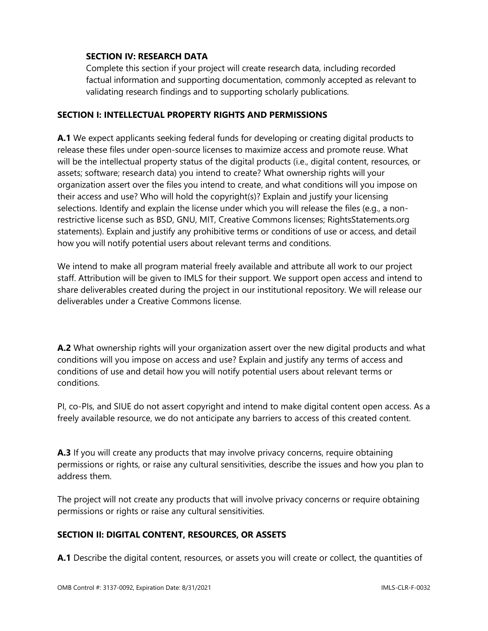#### **SECTION IV: RESEARCH DATA**

Complete this section if your project will create research data, including recorded factual information and supporting documentation, commonly accepted as relevant to validating research findings and to supporting scholarly publications.

#### **SECTION I: INTELLECTUAL PROPERTY RIGHTS AND PERMISSIONS**

**A.1** We expect applicants seeking federal funds for developing or creating digital products to release these files under open-source licenses to maximize access and promote reuse. What will be the intellectual property status of the digital products (i.e., digital content, resources, or assets; software; research data) you intend to create? What ownership rights will your organization assert over the files you intend to create, and what conditions will you impose on their access and use? Who will hold the copyright(s)? Explain and justify your licensing selections. Identify and explain the license under which you will release the files (e.g., a nonrestrictive license such as BSD, GNU, MIT, Creative Commons licenses; RightsStatements.org statements). Explain and justify any prohibitive terms or conditions of use or access, and detail how you will notify potential users about relevant terms and conditions.

We intend to make all program material freely available and attribute all work to our project staff. Attribution will be given to IMLS for their support. We support open access and intend to share deliverables created during the project in our institutional repository. We will release our deliverables under a Creative Commons license.

**A.2** What ownership rights will your organization assert over the new digital products and what conditions will you impose on access and use? Explain and justify any terms of access and conditions of use and detail how you will notify potential users about relevant terms or conditions.

PI, co-PIs, and SIUE do not assert copyright and intend to make digital content open access. As a freely available resource, we do not anticipate any barriers to access of this created content.

**A.3** If you will create any products that may involve privacy concerns, require obtaining permissions or rights, or raise any cultural sensitivities, describe the issues and how you plan to address them.

The project will not create any products that will involve privacy concerns or require obtaining permissions or rights or raise any cultural sensitivities.

## **SECTION II: DIGITAL CONTENT, RESOURCES, OR ASSETS**

**A.1** Describe the digital content, resources, or assets you will create or collect, the quantities of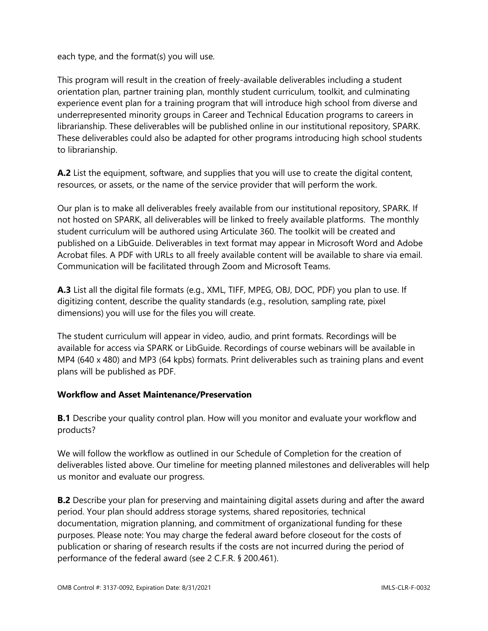each type, and the format(s) you will use.

This program will result in the creation of freely-available deliverables including a student orientation plan, partner training plan, monthly student curriculum, toolkit, and culminating experience event plan for a training program that will introduce high school from diverse and underrepresented minority groups in Career and Technical Education programs to careers in librarianship. These deliverables will be published online in our institutional repository, SPARK. These deliverables could also be adapted for other programs introducing high school students to librarianship.

**A.2** List the equipment, software, and supplies that you will use to create the digital content, resources, or assets, or the name of the service provider that will perform the work.

Our plan is to make all deliverables freely available from our institutional repository, SPARK. If not hosted on SPARK, all deliverables will be linked to freely available platforms. The monthly student curriculum will be authored using Articulate 360. The toolkit will be created and published on a LibGuide. Deliverables in text format may appear in Microsoft Word and Adobe Acrobat files. A PDF with URLs to all freely available content will be available to share via email. Communication will be facilitated through Zoom and Microsoft Teams.

**A.3** List all the digital file formats (e.g., XML, TIFF, MPEG, OBJ, DOC, PDF) you plan to use. If digitizing content, describe the quality standards (e.g., resolution, sampling rate, pixel dimensions) you will use for the files you will create.

The student curriculum will appear in video, audio, and print formats. Recordings will be available for access via SPARK or LibGuide. Recordings of course webinars will be available in MP4 (640 x 480) and MP3 (64 kpbs) formats. Print deliverables such as training plans and event plans will be published as PDF.

#### **Workflow and Asset Maintenance/Preservation**

**B.1** Describe your quality control plan. How will you monitor and evaluate your workflow and products?

We will follow the workflow as outlined in our Schedule of Completion for the creation of deliverables listed above. Our timeline for meeting planned milestones and deliverables will help us monitor and evaluate our progress.

**B.2** Describe your plan for preserving and maintaining digital assets during and after the award period. Your plan should address storage systems, shared repositories, technical documentation, migration planning, and commitment of organizational funding for these purposes. Please note: You may charge the federal award before closeout for the costs of publication or sharing of research results if the costs are not incurred during the period of performance of the federal award (see 2 C.F.R. § 200.461).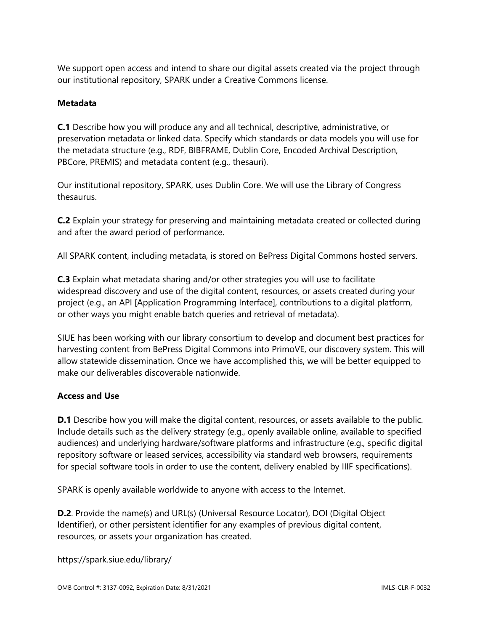We support open access and intend to share our digital assets created via the project through our institutional repository, SPARK under a Creative Commons license.

#### **Metadata**

**C.1** Describe how you will produce any and all technical, descriptive, administrative, or preservation metadata or linked data. Specify which standards or data models you will use for the metadata structure (e.g., RDF, BIBFRAME, Dublin Core, Encoded Archival Description, PBCore, PREMIS) and metadata content (e.g., thesauri).

Our institutional repository, SPARK, uses Dublin Core. We will use the Library of Congress thesaurus.

**C.2** Explain your strategy for preserving and maintaining metadata created or collected during and after the award period of performance.

All SPARK content, including metadata, is stored on BePress Digital Commons hosted servers.

**C.3** Explain what metadata sharing and/or other strategies you will use to facilitate widespread discovery and use of the digital content, resources, or assets created during your project (e.g., an API [Application Programming Interface], contributions to a digital platform, or other ways you might enable batch queries and retrieval of metadata).

SIUE has been working with our library consortium to develop and document best practices for harvesting content from BePress Digital Commons into PrimoVE, our discovery system. This will allow statewide dissemination. Once we have accomplished this, we will be better equipped to make our deliverables discoverable nationwide.

#### **Access and Use**

**D.1** Describe how you will make the digital content, resources, or assets available to the public. Include details such as the delivery strategy (e.g., openly available online, available to specified audiences) and underlying hardware/software platforms and infrastructure (e.g., specific digital repository software or leased services, accessibility via standard web browsers, requirements for special software tools in order to use the content, delivery enabled by IIIF specifications).

SPARK is openly available worldwide to anyone with access to the Internet.

**D.2**. Provide the name(s) and URL(s) (Universal Resource Locator), DOI (Digital Object Identifier), or other persistent identifier for any examples of previous digital content, resources, or assets your organization has created.

https://spark.siue.edu/library/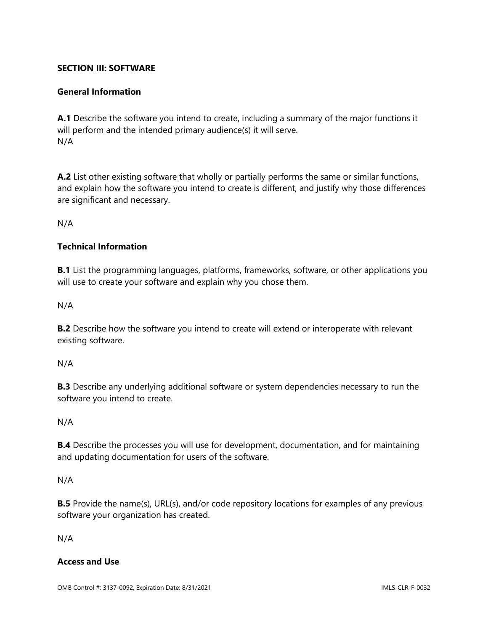#### **SECTION III: SOFTWARE**

#### **General Information**

**A.1** Describe the software you intend to create, including a summary of the major functions it will perform and the intended primary audience(s) it will serve. N/A

**A.2** List other existing software that wholly or partially performs the same or similar functions, and explain how the software you intend to create is different, and justify why those differences are significant and necessary.

N/A

#### **Technical Information**

**B.1** List the programming languages, platforms, frameworks, software, or other applications you will use to create your software and explain why you chose them.

N/A

**B.2** Describe how the software you intend to create will extend or interoperate with relevant existing software.

N/A

**B.3** Describe any underlying additional software or system dependencies necessary to run the software you intend to create.

#### N/A

**B.4** Describe the processes you will use for development, documentation, and for maintaining and updating documentation for users of the software.

N/A

**B.5** Provide the name(s), URL(s), and/or code repository locations for examples of any previous software your organization has created.

N/A

#### **Access and Use**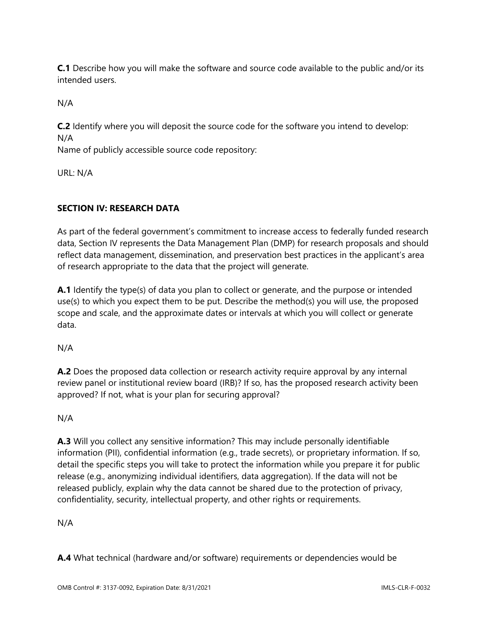**C.1** Describe how you will make the software and source code available to the public and/or its intended users.

N/A

**C.2** Identify where you will deposit the source code for the software you intend to develop: N/A

Name of publicly accessible source code repository:

URL: N/A

# **SECTION IV: RESEARCH DATA**

As part of the federal government's commitment to increase access to federally funded research data, Section IV represents the Data Management Plan (DMP) for research proposals and should reflect data management, dissemination, and preservation best practices in the applicant's area of research appropriate to the data that the project will generate.

**A.1** Identify the type(s) of data you plan to collect or generate, and the purpose or intended use(s) to which you expect them to be put. Describe the method(s) you will use, the proposed scope and scale, and the approximate dates or intervals at which you will collect or generate data.

N/A

**A.2** Does the proposed data collection or research activity require approval by any internal review panel or institutional review board (IRB)? If so, has the proposed research activity been approved? If not, what is your plan for securing approval?

N/A

**A.3** Will you collect any sensitive information? This may include personally identifiable information (PII), confidential information (e.g., trade secrets), or proprietary information. If so, detail the specific steps you will take to protect the information while you prepare it for public release (e.g., anonymizing individual identifiers, data aggregation). If the data will not be released publicly, explain why the data cannot be shared due to the protection of privacy, confidentiality, security, intellectual property, and other rights or requirements.

N/A

**A.4** What technical (hardware and/or software) requirements or dependencies would be